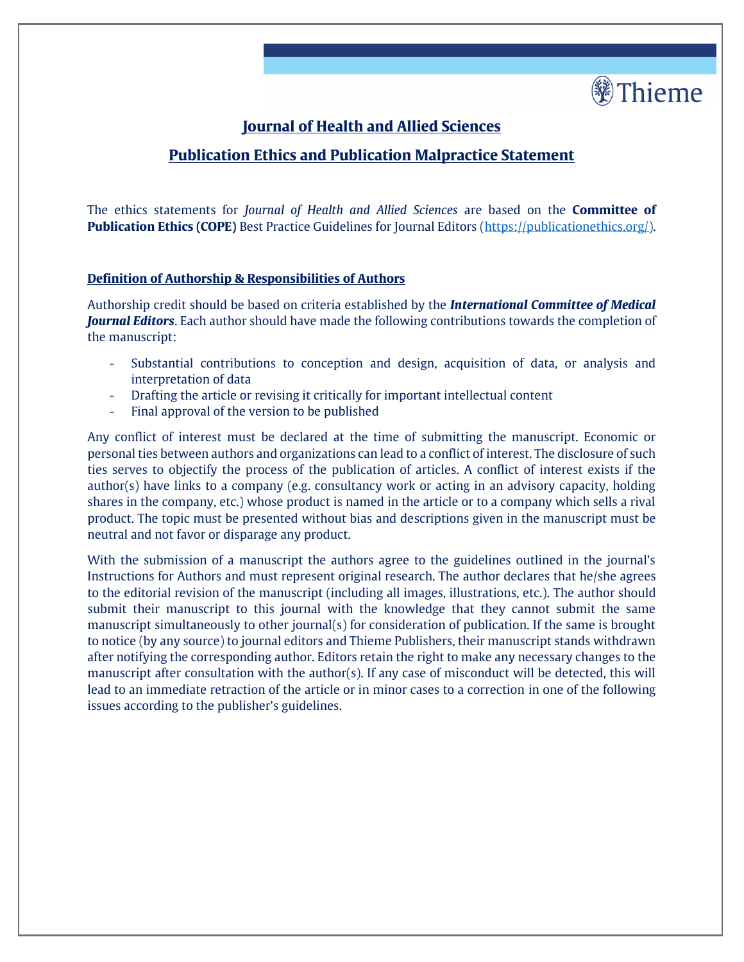

# **Journal of Health and Allied Sciences**

## **Publication Ethics and Publication Malpractice Statement**

The ethics statements for *Journal of Health and Allied Sciences* are based on the **Committee of Publication Ethics (COPE)** Best Practice Guidelines for Journal Editors [\(https://publicationethics.org/\)](https://publicationethics.org/).

### **Definition of Authorship & Responsibilities of Authors**

Authorship credit should be based on criteria established by the *International Committee of Medical Journal Editors*. Each author should have made the following contributions towards the completion of the manuscript:

- Substantial contributions to conception and design, acquisition of data, or analysis and interpretation of data
- Drafting the article or revising it critically for important intellectual content
- Final approval of the version to be published

Any conflict of interest must be declared at the time of submitting the manuscript. Economic or personal ties between authors and organizations can lead to a conflict of interest. The disclosure of such ties serves to objectify the process of the publication of articles. A conflict of interest exists if the author(s) have links to a company (e.g. consultancy work or acting in an advisory capacity, holding shares in the company, etc.) whose product is named in the article or to a company which sells a rival product. The topic must be presented without bias and descriptions given in the manuscript must be neutral and not favor or disparage any product.

With the submission of a manuscript the authors agree to the guidelines outlined in the journal's Instructions for Authors and must represent original research. The author declares that he/she agrees to the editorial revision of the manuscript (including all images, illustrations, etc.). The author should submit their manuscript to this journal with the knowledge that they cannot submit the same manuscript simultaneously to other journal(s) for consideration of publication. If the same is brought to notice (by any source) to journal editors and Thieme Publishers, their manuscript stands withdrawn after notifying the corresponding author. Editors retain the right to make any necessary changes to the manuscript after consultation with the author(s). If any case of misconduct will be detected, this will lead to an immediate retraction of the article or in minor cases to a correction in one of the following issues according to the publisher's guidelines.